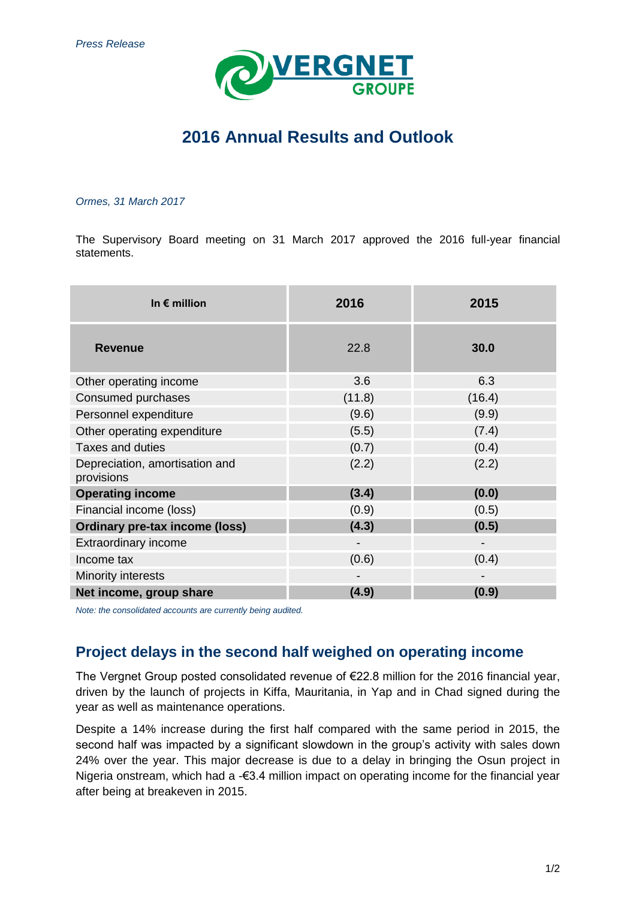

# **2016 Annual Results and Outlook**

*Ormes, 31 March 2017*

The Supervisory Board meeting on 31 March 2017 approved the 2016 full-year financial statements.

| In $\epsilon$ million                        | 2016   | 2015   |
|----------------------------------------------|--------|--------|
| <b>Revenue</b>                               | 22.8   | 30.0   |
| Other operating income                       | 3.6    | 6.3    |
| Consumed purchases                           | (11.8) | (16.4) |
| Personnel expenditure                        | (9.6)  | (9.9)  |
| Other operating expenditure                  | (5.5)  | (7.4)  |
| Taxes and duties                             | (0.7)  | (0.4)  |
| Depreciation, amortisation and<br>provisions | (2.2)  | (2.2)  |
| <b>Operating income</b>                      | (3.4)  | (0.0)  |
| Financial income (loss)                      | (0.9)  | (0.5)  |
| <b>Ordinary pre-tax income (loss)</b>        | (4.3)  | (0.5)  |
| Extraordinary income                         |        |        |
| Income tax                                   | (0.6)  | (0.4)  |
| Minority interests                           |        |        |
| Net income, group share                      | (4.9)  | (0.9)  |

*Note: the consolidated accounts are currently being audited.*

# **Project delays in the second half weighed on operating income**

The Vergnet Group posted consolidated revenue of €22.8 million for the 2016 financial year, driven by the launch of projects in Kiffa, Mauritania, in Yap and in Chad signed during the year as well as maintenance operations.

Despite a 14% increase during the first half compared with the same period in 2015, the second half was impacted by a significant slowdown in the group's activity with sales down 24% over the year. This major decrease is due to a delay in bringing the Osun project in Nigeria onstream, which had a -€3.4 million impact on operating income for the financial year after being at breakeven in 2015.